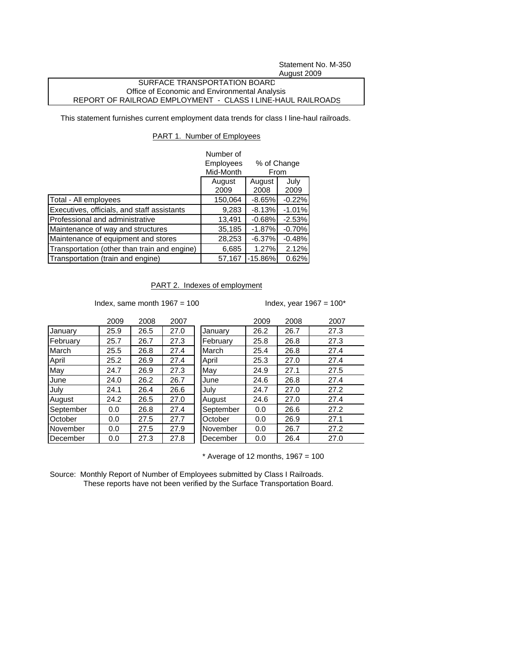Statement No. M-350 August 2009

## SURFACE TRANSPORTATION BOARD Office of Economic and Environmental Analysis REPORT OF RAILROAD EMPLOYMENT - CLASS I LINE-HAUL RAILROADS

This statement furnishes current employment data trends for class I line-haul railroads.

## PART 1. Number of Employees

|                                              | Number of<br><b>Employees</b> | % of Change                      |          |  |
|----------------------------------------------|-------------------------------|----------------------------------|----------|--|
|                                              | Mid-Month                     | From<br>July<br>August<br>August |          |  |
|                                              |                               |                                  |          |  |
|                                              | 2009                          | 2008                             | 2009     |  |
| Total - All employees                        | 150,064                       | $-8.65%$                         | $-0.22%$ |  |
| Executives, officials, and staff assistants  | 9,283                         | $-8.13%$                         | $-1.01%$ |  |
| Professional and administrative              | 13,491                        | $-0.68%$                         | $-2.53%$ |  |
| Maintenance of way and structures            | 35,185                        | $-1.87%$                         | $-0.70%$ |  |
| Maintenance of equipment and stores          | 28,253                        | $-6.37%$                         | $-0.48%$ |  |
| Transportation (other than train and engine) | 6,685                         | 1.27%                            | 2.12%    |  |
| Transportation (train and engine)            | 57,167                        | $-15.86\%$                       | 0.62%    |  |

PART 2. Indexes of employment

Index, same month  $1967 = 100$  Index, year  $1967 = 100^*$ 

|           | 2009 | 2008 | 2007 |           | 2009 | 2008 | 2007 |
|-----------|------|------|------|-----------|------|------|------|
| January   | 25.9 | 26.5 | 27.0 | January   | 26.2 | 26.7 | 27.3 |
| February  | 25.7 | 26.7 | 27.3 | February  | 25.8 | 26.8 | 27.3 |
| March     | 25.5 | 26.8 | 27.4 | March     | 25.4 | 26.8 | 27.4 |
| April     | 25.2 | 26.9 | 27.4 | April     | 25.3 | 27.0 | 27.4 |
| May       | 24.7 | 26.9 | 27.3 | May       | 24.9 | 27.1 | 27.5 |
| June      | 24.0 | 26.2 | 26.7 | June      | 24.6 | 26.8 | 27.4 |
| July      | 24.1 | 26.4 | 26.6 | July      | 24.7 | 27.0 | 27.2 |
| August    | 24.2 | 26.5 | 27.0 | August    | 24.6 | 27.0 | 27.4 |
| September | 0.0  | 26.8 | 27.4 | September | 0.0  | 26.6 | 27.2 |
| October   | 0.0  | 27.5 | 27.7 | October   | 0.0  | 26.9 | 27.1 |
| November  | 0.0  | 27.5 | 27.9 | November  | 0.0  | 26.7 | 27.2 |
| December  | 0.0  | 27.3 | 27.8 | December  | 0.0  | 26.4 | 27.0 |

 $*$  Average of 12 months, 1967 = 100

Source: Monthly Report of Number of Employees submitted by Class I Railroads. These reports have not been verified by the Surface Transportation Board.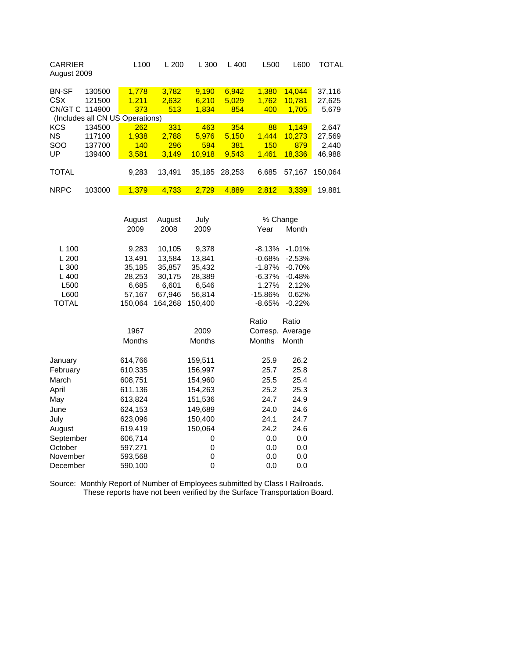| <b>CARRIER</b><br>August 2009   |        | L <sub>100</sub> | L200   | L300   | L 400  | L500  | L600   | TOTAL   |
|---------------------------------|--------|------------------|--------|--------|--------|-------|--------|---------|
| <b>BN-SF</b>                    | 130500 | 1.778            | 3.782  | 9.190  | 6,942  | 1.380 | 14.044 | 37,116  |
| CSX                             | 121500 | 1.211            | 2,632  | 6,210  | 5,029  | 1,762 | 10.781 | 27,625  |
| CN/GT C                         | 114900 | 373              | 513    | 1,834  | 854    | 400   | 1,705  | 5,679   |
| (Includes all CN US Operations) |        |                  |        |        |        |       |        |         |
| <b>KCS</b>                      | 134500 | 262              | 331    | 463    | 354    | 88    | 1.149  | 2,647   |
| <b>NS</b>                       | 117100 | 1.938            | 2.788  | 5.976  | 5,150  | 1.444 | 10.273 | 27,569  |
| <b>SOO</b>                      | 137700 | 140              | 296    | 594    | 381    | 150   | 879    | 2,440   |
| UP                              | 139400 | 3.581            | 3.149  | 10.918 | 9,543  | 1.461 | 18.336 | 46,988  |
|                                 |        |                  |        |        |        |       |        |         |
| <b>TOTAL</b>                    |        | 9.283            | 13.491 | 35,185 | 28.253 | 6.685 | 57.167 | 150.064 |
|                                 |        |                  |        |        |        |       |        |         |
| <b>NRPC</b>                     | 103000 | 1.379            | 4.733  | 2.729  | 4.889  | 2.812 | 3.339  | 19.881  |

|              | August  | August  |               |               | % Change |  |  |
|--------------|---------|---------|---------------|---------------|----------|--|--|
|              | 2009    | 2008    | 2009          | Year          | Month    |  |  |
| $L$ 100      | 9,283   | 10,105  | 9,378         | $-8.13%$      | $-1.01%$ |  |  |
| L200         | 13.491  | 13.584  | 13.841        | $-0.68%$      | $-2.53%$ |  |  |
| L 300        | 35,185  | 35,857  | 35,432        | $-1.87%$      | $-0.70%$ |  |  |
| L400         | 28,253  | 30,175  | 28,389        | $-6.37%$      | $-0.48%$ |  |  |
| L500         | 6,685   | 6,601   | 6,546         | 1.27%         | 2.12%    |  |  |
| L600         | 57,167  | 67,946  | 56,814        | -15.86%       | 0.62%    |  |  |
| <b>TOTAL</b> | 150,064 | 164,268 | 150,400       | -8.65%        | $-0.22%$ |  |  |
|              |         |         |               | Ratio         | Ratio    |  |  |
|              | 1967    |         | 2009          | Corresp.      | Average  |  |  |
|              | Months  |         | <b>Months</b> | <b>Months</b> | Month    |  |  |
| January      | 614,766 |         | 159,511       | 25.9          | 26.2     |  |  |
| February     | 610,335 |         | 156,997       | 25.7          | 25.8     |  |  |
| March        | 608,751 |         | 154,960       | 25.5          | 25.4     |  |  |
| April        | 611,136 |         | 154,263       | 25.2          | 25.3     |  |  |
| May          | 613,824 |         | 151,536       | 24.7          | 24.9     |  |  |
| June         | 624,153 |         | 149,689       | 24.0          | 24.6     |  |  |
| July         | 623,096 |         | 150,400       | 24.1          | 24.7     |  |  |
| August       | 619,419 |         | 150,064       | 24.2          | 24.6     |  |  |
| September    | 606,714 |         | 0             | 0.0           | 0.0      |  |  |
| October      | 597,271 |         | 0             | 0.0           | 0.0      |  |  |
| November     | 593,568 |         | 0             | 0.0           | 0.0      |  |  |
| December     | 590,100 |         | 0             | 0.0           | 0.0      |  |  |

Source: Monthly Report of Number of Employees submitted by Class I Railroads. These reports have not been verified by the Surface Transportation Board.